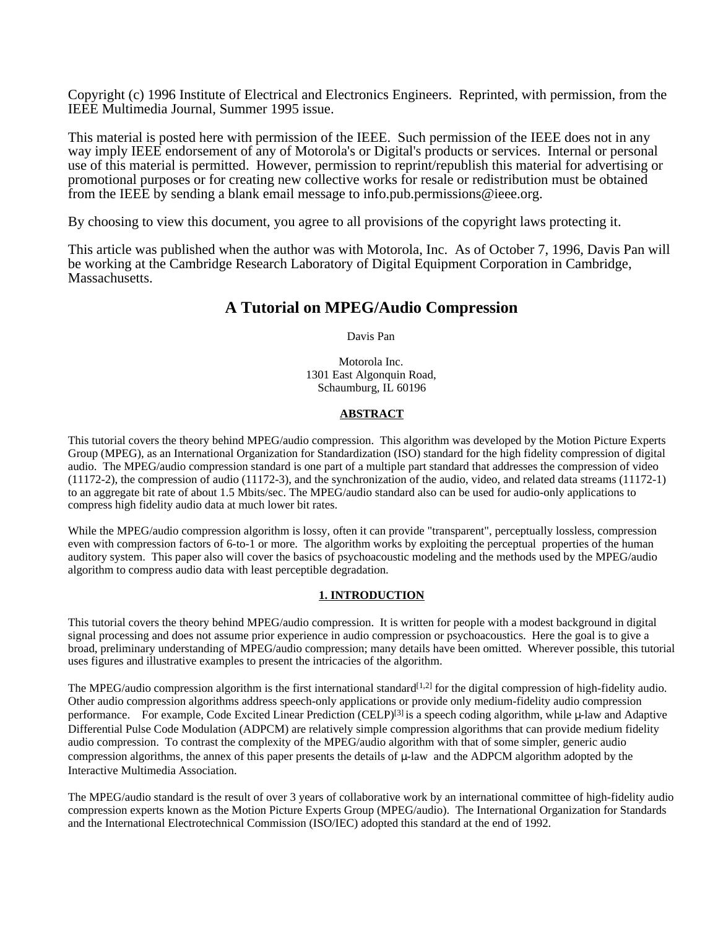Copyright (c) 1996 Institute of Electrical and Electronics Engineers. Reprinted, with permission, from the IEEE Multimedia Journal, Summer 1995 issue.

This material is posted here with permission of the IEEE. Such permission of the IEEE does not in any way imply IEEE endorsement of any of Motorola's or Digital's products or services. Internal or personal use of this material is permitted. However, permission to reprint/republish this material for advertising or promotional purposes or for creating new collective works for resale or redistribution must be obtained from the IEEE by sending a blank email message to info.pub.permissions@ieee.org.

By choosing to view this document, you agree to all provisions of the copyright laws protecting it.

This article was published when the author was with Motorola, Inc. As of October 7, 1996, Davis Pan will be working at the Cambridge Research Laboratory of Digital Equipment Corporation in Cambridge, Massachusetts.

# **A Tutorial on MPEG/Audio Compression**

Davis Pan

Motorola Inc. 1301 East Algonquin Road, Schaumburg, IL 60196

# **ABSTRACT**

This tutorial covers the theory behind MPEG/audio compression. This algorithm was developed by the Motion Picture Experts Group (MPEG), as an International Organization for Standardization (ISO) standard for the high fidelity compression of digital audio. The MPEG/audio compression standard is one part of a multiple part standard that addresses the compression of video (11172-2), the compression of audio (11172-3), and the synchronization of the audio, video, and related data streams (11172-1) to an aggregate bit rate of about 1.5 Mbits/sec. The MPEG/audio standard also can be used for audio-only applications to compress high fidelity audio data at much lower bit rates.

While the MPEG/audio compression algorithm is lossy, often it can provide "transparent", perceptually lossless, compression even with compression factors of 6-to-1 or more. The algorithm works by exploiting the perceptual properties of the human auditory system. This paper also will cover the basics of psychoacoustic modeling and the methods used by the MPEG/audio algorithm to compress audio data with least perceptible degradation.

## **1. INTRODUCTION**

This tutorial covers the theory behind MPEG/audio compression. It is written for people with a modest background in digital signal processing and does not assume prior experience in audio compression or psychoacoustics. Here the goal is to give a broad, preliminary understanding of MPEG/audio compression; many details have been omitted. Wherever possible, this tutorial uses figures and illustrative examples to present the intricacies of the algorithm.

The MPEG/audio compression algorithm is the first international standard $[1,2]$  for the digital compression of high-fidelity audio. Other audio compression algorithms address speech-only applications or provide only medium-fidelity audio compression performance. For example, Code Excited Linear Prediction (CELP)<sup>[3]</sup> is a speech coding algorithm, while  $\mu$ -law and Adaptive Differential Pulse Code Modulation (ADPCM) are relatively simple compression algorithms that can provide medium fidelity audio compression. To contrast the complexity of the MPEG/audio algorithm with that of some simpler, generic audio compression algorithms, the annex of this paper presents the details of µ-law and the ADPCM algorithm adopted by the Interactive Multimedia Association.

The MPEG/audio standard is the result of over 3 years of collaborative work by an international committee of high-fidelity audio compression experts known as the Motion Picture Experts Group (MPEG/audio). The International Organization for Standards and the International Electrotechnical Commission (ISO/IEC) adopted this standard at the end of 1992.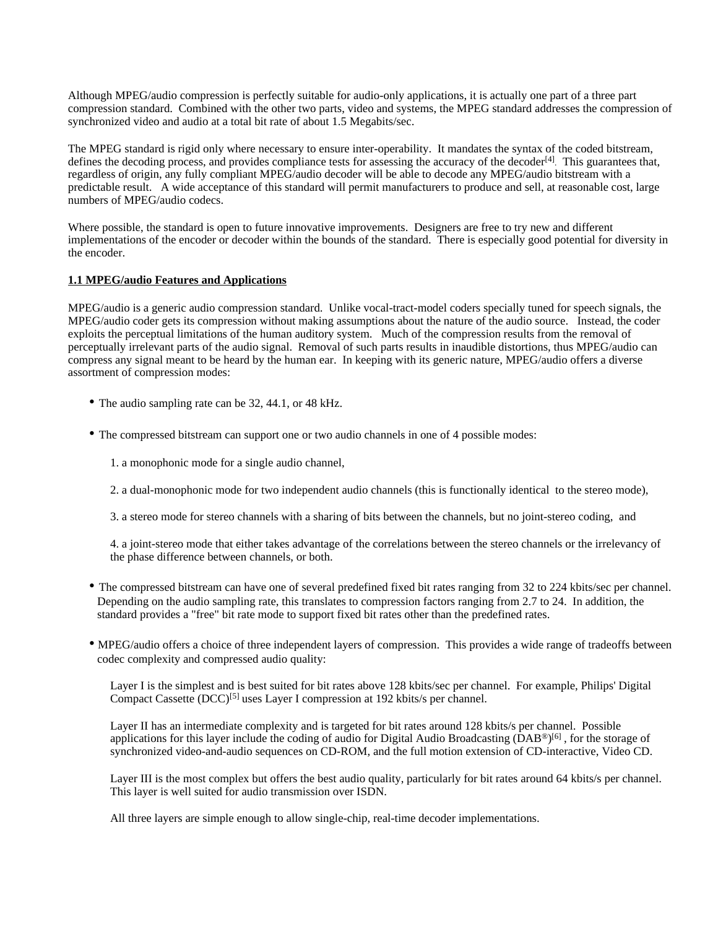Although MPEG/audio compression is perfectly suitable for audio-only applications, it is actually one part of a three part compression standard. Combined with the other two parts, video and systems, the MPEG standard addresses the compression of synchronized video and audio at a total bit rate of about 1.5 Megabits/sec.

The MPEG standard is rigid only where necessary to ensure inter-operability. It mandates the syntax of the coded bitstream, defines the decoding process, and provides compliance tests for assessing the accuracy of the decoder<sup>[4]</sup>. This guarantees that, regardless of origin, any fully compliant MPEG/audio decoder will be able to decode any MPEG/audio bitstream with a predictable result. A wide acceptance of this standard will permit manufacturers to produce and sell, at reasonable cost, large numbers of MPEG/audio codecs.

Where possible, the standard is open to future innovative improvements. Designers are free to try new and different implementations of the encoder or decoder within the bounds of the standard. There is especially good potential for diversity in the encoder.

## **1.1 MPEG/audio Features and Applications**

MPEG/audio is a generic audio compression standard. Unlike vocal-tract-model coders specially tuned for speech signals, the MPEG/audio coder gets its compression without making assumptions about the nature of the audio source. Instead, the coder exploits the perceptual limitations of the human auditory system. Much of the compression results from the removal of perceptually irrelevant parts of the audio signal. Removal of such parts results in inaudible distortions, thus MPEG/audio can compress any signal meant to be heard by the human ear. In keeping with its generic nature, MPEG/audio offers a diverse assortment of compression modes:

- The audio sampling rate can be 32, 44.1, or 48 kHz.
- The compressed bitstream can support one or two audio channels in one of 4 possible modes:
	- 1. a monophonic mode for a single audio channel,
	- 2. a dual-monophonic mode for two independent audio channels (this is functionally identical to the stereo mode),
	- 3. a stereo mode for stereo channels with a sharing of bits between the channels, but no joint-stereo coding, and

4. a joint-stereo mode that either takes advantage of the correlations between the stereo channels or the irrelevancy of the phase difference between channels, or both.

- The compressed bitstream can have one of several predefined fixed bit rates ranging from 32 to 224 kbits/sec per channel. Depending on the audio sampling rate, this translates to compression factors ranging from 2.7 to 24. In addition, the standard provides a "free" bit rate mode to support fixed bit rates other than the predefined rates.
- MPEG/audio offers a choice of three independent layers of compression. This provides a wide range of tradeoffs between codec complexity and compressed audio quality:

Layer I is the simplest and is best suited for bit rates above 128 kbits/sec per channel. For example, Philips' Digital Compact Cassette (DCC)<sup>[5]</sup> uses Layer I compression at 192 kbits/s per channel.

Layer II has an intermediate complexity and is targeted for bit rates around 128 kbits/s per channel. Possible applications for this layer include the coding of audio for Digital Audio Broadcasting  $(DAB^{\otimes})^{[6]}$ , for the storage of synchronized video-and-audio sequences on CD-ROM, and the full motion extension of CD-interactive, Video CD.

Layer III is the most complex but offers the best audio quality, particularly for bit rates around 64 kbits/s per channel. This layer is well suited for audio transmission over ISDN.

All three layers are simple enough to allow single-chip, real-time decoder implementations.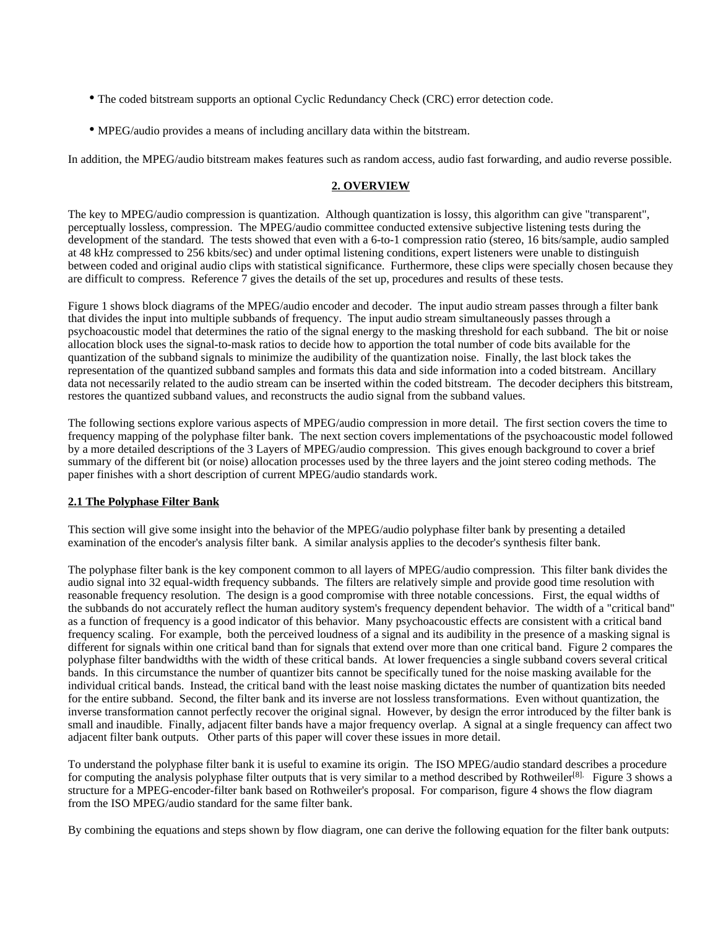- The coded bitstream supports an optional Cyclic Redundancy Check (CRC) error detection code.
- MPEG/audio provides a means of including ancillary data within the bitstream.

In addition, the MPEG/audio bitstream makes features such as random access, audio fast forwarding, and audio reverse possible.

# **2. OVERVIEW**

The key to MPEG/audio compression is quantization. Although quantization is lossy, this algorithm can give "transparent", perceptually lossless, compression. The MPEG/audio committee conducted extensive subjective listening tests during the development of the standard. The tests showed that even with a 6-to-1 compression ratio (stereo, 16 bits/sample, audio sampled at 48 kHz compressed to 256 kbits/sec) and under optimal listening conditions, expert listeners were unable to distinguish between coded and original audio clips with statistical significance. Furthermore, these clips were specially chosen because they are difficult to compress. Reference 7 gives the details of the set up, procedures and results of these tests.

Figure 1 shows block diagrams of the MPEG/audio encoder and decoder. The input audio stream passes through a filter bank that divides the input into multiple subbands of frequency. The input audio stream simultaneously passes through a psychoacoustic model that determines the ratio of the signal energy to the masking threshold for each subband. The bit or noise allocation block uses the signal-to-mask ratios to decide how to apportion the total number of code bits available for the quantization of the subband signals to minimize the audibility of the quantization noise. Finally, the last block takes the representation of the quantized subband samples and formats this data and side information into a coded bitstream. Ancillary data not necessarily related to the audio stream can be inserted within the coded bitstream. The decoder deciphers this bitstream, restores the quantized subband values, and reconstructs the audio signal from the subband values.

The following sections explore various aspects of MPEG/audio compression in more detail. The first section covers the time to frequency mapping of the polyphase filter bank. The next section covers implementations of the psychoacoustic model followed by a more detailed descriptions of the 3 Layers of MPEG/audio compression. This gives enough background to cover a brief summary of the different bit (or noise) allocation processes used by the three layers and the joint stereo coding methods. The paper finishes with a short description of current MPEG/audio standards work.

# **2.1 The Polyphase Filter Bank**

This section will give some insight into the behavior of the MPEG/audio polyphase filter bank by presenting a detailed examination of the encoder's analysis filter bank. A similar analysis applies to the decoder's synthesis filter bank.

The polyphase filter bank is the key component common to all layers of MPEG/audio compression. This filter bank divides the audio signal into 32 equal-width frequency subbands. The filters are relatively simple and provide good time resolution with reasonable frequency resolution. The design is a good compromise with three notable concessions. First, the equal widths of the subbands do not accurately reflect the human auditory system's frequency dependent behavior. The width of a "critical band" as a function of frequency is a good indicator of this behavior. Many psychoacoustic effects are consistent with a critical band frequency scaling. For example, both the perceived loudness of a signal and its audibility in the presence of a masking signal is different for signals within one critical band than for signals that extend over more than one critical band. Figure 2 compares the polyphase filter bandwidths with the width of these critical bands. At lower frequencies a single subband covers several critical bands. In this circumstance the number of quantizer bits cannot be specifically tuned for the noise masking available for the individual critical bands. Instead, the critical band with the least noise masking dictates the number of quantization bits needed for the entire subband. Second, the filter bank and its inverse are not lossless transformations. Even without quantization, the inverse transformation cannot perfectly recover the original signal. However, by design the error introduced by the filter bank is small and inaudible. Finally, adjacent filter bands have a major frequency overlap. A signal at a single frequency can affect two adjacent filter bank outputs. Other parts of this paper will cover these issues in more detail.

To understand the polyphase filter bank it is useful to examine its origin. The ISO MPEG/audio standard describes a procedure for computing the analysis polyphase filter outputs that is very similar to a method described by Rothweiler<sup>[8].</sup> Figure 3 shows a structure for a MPEG-encoder-filter bank based on Rothweiler's proposal. For comparison, figure 4 shows the flow diagram from the ISO MPEG/audio standard for the same filter bank.

By combining the equations and steps shown by flow diagram, one can derive the following equation for the filter bank outputs: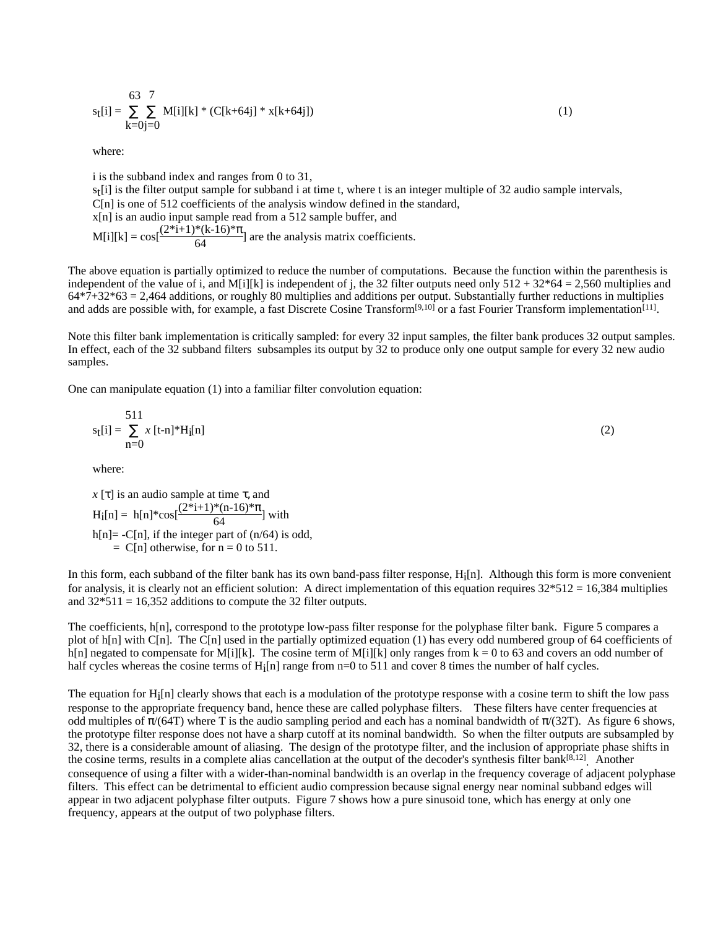$$
s_{t}[i] = \sum_{k=0}^{63} \sum_{j=0}^{7} M[i][k] * (C[k+64j] * x[k+64j])
$$
 (1)

where:

i is the subband index and ranges from 0 to 31, st[i] is the filter output sample for subband i at time t, where t is an integer multiple of 32 audio sample intervals, C[n] is one of 512 coefficients of the analysis window defined in the standard, x[n] is an audio input sample read from a 512 sample buffer, and  $M[i][k] = \cos[\frac{(2 \times i + 1) \times (k-16) \times \pi}{64}]$  are the analysis matrix coefficients.

The above equation is partially optimized to reduce the number of computations. Because the function within the parenthesis is independent of the value of i, and M[i][k] is independent of j, the 32 filter outputs need only  $512 + 32*64 = 2,560$  multiplies and  $64*7+32*63 = 2,464$  additions, or roughly 80 multiplies and additions per output. Substantially further reductions in multiplies and adds are possible with, for example, a fast Discrete Cosine Transform<sup>[9,10]</sup> or a fast Fourier Transform implementation<sup>[11]</sup>.

Note this filter bank implementation is critically sampled: for every 32 input samples, the filter bank produces 32 output samples. In effect, each of the 32 subband filters subsamples its output by 32 to produce only one output sample for every 32 new audio samples.

One can manipulate equation (1) into a familiar filter convolution equation:

$$
s_{t}[i] = \sum_{n=0}^{511} x [t-n]^{*} H_{i}[n]
$$
 (2)

where:

*x* [τ] is an audio sample at time τ, and  $H_1[n] = h[n]^* \cos[\frac{(2^*i+1)^*(n-16)^*\pi}{64}]$  with h[n] = -C[n], if the integer part of  $(n/64)$  is odd,  $= C[n]$  otherwise, for  $n = 0$  to 511.

In this form, each subband of the filter bank has its own band-pass filter response,  $H_1[n]$ . Although this form is more convenient for analysis, it is clearly not an efficient solution: A direct implementation of this equation requires  $32*512 = 16,384$  multiplies and  $32*511 = 16,352$  additions to compute the 32 filter outputs.

The coefficients, h[n], correspond to the prototype low-pass filter response for the polyphase filter bank. Figure 5 compares a plot of h[n] with C[n]. The C[n] used in the partially optimized equation (1) has every odd numbered group of 64 coefficients of h[n] negated to compensate for M[i][k]. The cosine term of M[i][k] only ranges from  $k = 0$  to 63 and covers an odd number of half cycles whereas the cosine terms of  $H_i[n]$  range from  $n=0$  to 511 and cover 8 times the number of half cycles.

The equation for  $H_i[n]$  clearly shows that each is a modulation of the prototype response with a cosine term to shift the low pass response to the appropriate frequency band, hence these are called polyphase filters. These filters have center frequencies at odd multiples of  $\pi/(64T)$  where T is the audio sampling period and each has a nominal bandwidth of  $\pi/(32T)$ . As figure 6 shows, the prototype filter response does not have a sharp cutoff at its nominal bandwidth. So when the filter outputs are subsampled by 32, there is a considerable amount of aliasing. The design of the prototype filter, and the inclusion of appropriate phase shifts in the cosine terms, results in a complete alias cancellation at the output of the decoder's synthesis filter bank $[8,12]$ . Another consequence of using a filter with a wider-than-nominal bandwidth is an overlap in the frequency coverage of adjacent polyphase filters. This effect can be detrimental to efficient audio compression because signal energy near nominal subband edges will appear in two adjacent polyphase filter outputs. Figure 7 shows how a pure sinusoid tone, which has energy at only one frequency, appears at the output of two polyphase filters.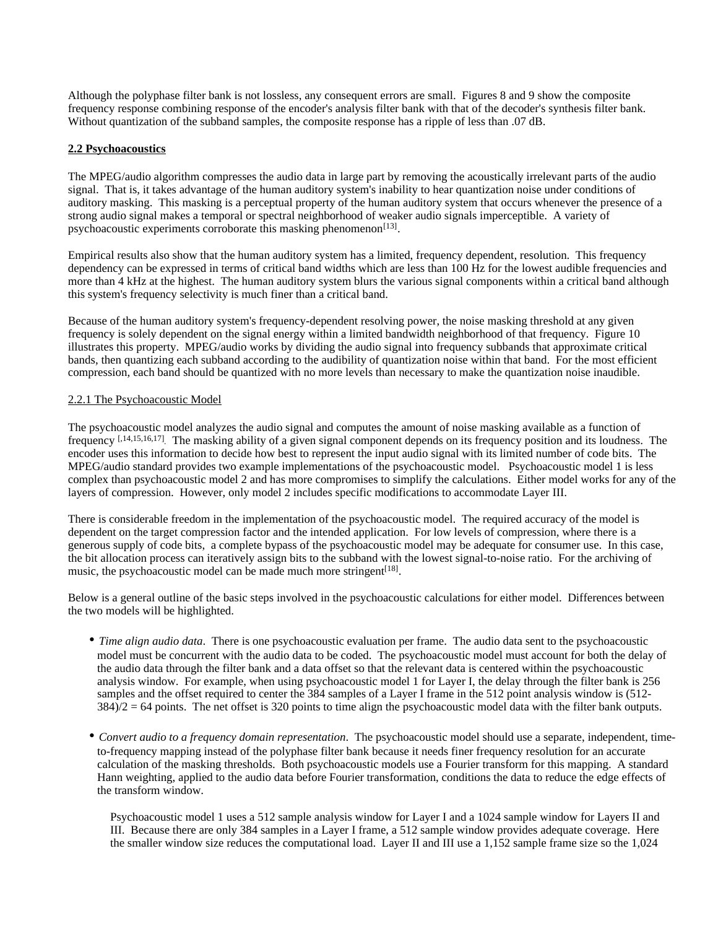Although the polyphase filter bank is not lossless, any consequent errors are small. Figures 8 and 9 show the composite frequency response combining response of the encoder's analysis filter bank with that of the decoder's synthesis filter bank. Without quantization of the subband samples, the composite response has a ripple of less than .07 dB.

## **2.2 Psychoacoustics**

The MPEG/audio algorithm compresses the audio data in large part by removing the acoustically irrelevant parts of the audio signal. That is, it takes advantage of the human auditory system's inability to hear quantization noise under conditions of auditory masking. This masking is a perceptual property of the human auditory system that occurs whenever the presence of a strong audio signal makes a temporal or spectral neighborhood of weaker audio signals imperceptible. A variety of psychoacoustic experiments corroborate this masking phenomenon<sup>[13]</sup>.

Empirical results also show that the human auditory system has a limited, frequency dependent, resolution. This frequency dependency can be expressed in terms of critical band widths which are less than 100 Hz for the lowest audible frequencies and more than 4 kHz at the highest. The human auditory system blurs the various signal components within a critical band although this system's frequency selectivity is much finer than a critical band.

Because of the human auditory system's frequency-dependent resolving power, the noise masking threshold at any given frequency is solely dependent on the signal energy within a limited bandwidth neighborhood of that frequency. Figure 10 illustrates this property. MPEG/audio works by dividing the audio signal into frequency subbands that approximate critical bands, then quantizing each subband according to the audibility of quantization noise within that band. For the most efficient compression, each band should be quantized with no more levels than necessary to make the quantization noise inaudible.

## 2.2.1 The Psychoacoustic Model

The psychoacoustic model analyzes the audio signal and computes the amount of noise masking available as a function of frequency [,14,15,16,17]. The masking ability of a given signal component depends on its frequency position and its loudness. The encoder uses this information to decide how best to represent the input audio signal with its limited number of code bits. The MPEG/audio standard provides two example implementations of the psychoacoustic model. Psychoacoustic model 1 is less complex than psychoacoustic model 2 and has more compromises to simplify the calculations. Either model works for any of the layers of compression. However, only model 2 includes specific modifications to accommodate Layer III.

There is considerable freedom in the implementation of the psychoacoustic model. The required accuracy of the model is dependent on the target compression factor and the intended application. For low levels of compression, where there is a generous supply of code bits, a complete bypass of the psychoacoustic model may be adequate for consumer use. In this case, the bit allocation process can iteratively assign bits to the subband with the lowest signal-to-noise ratio. For the archiving of music, the psychoacoustic model can be made much more stringent<sup>[18]</sup>.

Below is a general outline of the basic steps involved in the psychoacoustic calculations for either model. Differences between the two models will be highlighted.

- *Time align audio data*. There is one psychoacoustic evaluation per frame. The audio data sent to the psychoacoustic model must be concurrent with the audio data to be coded. The psychoacoustic model must account for both the delay of the audio data through the filter bank and a data offset so that the relevant data is centered within the psychoacoustic analysis window. For example, when using psychoacoustic model 1 for Layer I, the delay through the filter bank is 256 samples and the offset required to center the 384 samples of a Layer I frame in the 512 point analysis window is (512- $384$ / $2 = 64$  points. The net offset is 320 points to time align the psychoacoustic model data with the filter bank outputs.
- *Convert audio to a frequency domain representation*. The psychoacoustic model should use a separate, independent, timeto-frequency mapping instead of the polyphase filter bank because it needs finer frequency resolution for an accurate calculation of the masking thresholds. Both psychoacoustic models use a Fourier transform for this mapping. A standard Hann weighting, applied to the audio data before Fourier transformation, conditions the data to reduce the edge effects of the transform window.

Psychoacoustic model 1 uses a 512 sample analysis window for Layer I and a 1024 sample window for Layers II and III. Because there are only 384 samples in a Layer I frame, a 512 sample window provides adequate coverage. Here the smaller window size reduces the computational load. Layer II and III use a 1,152 sample frame size so the 1,024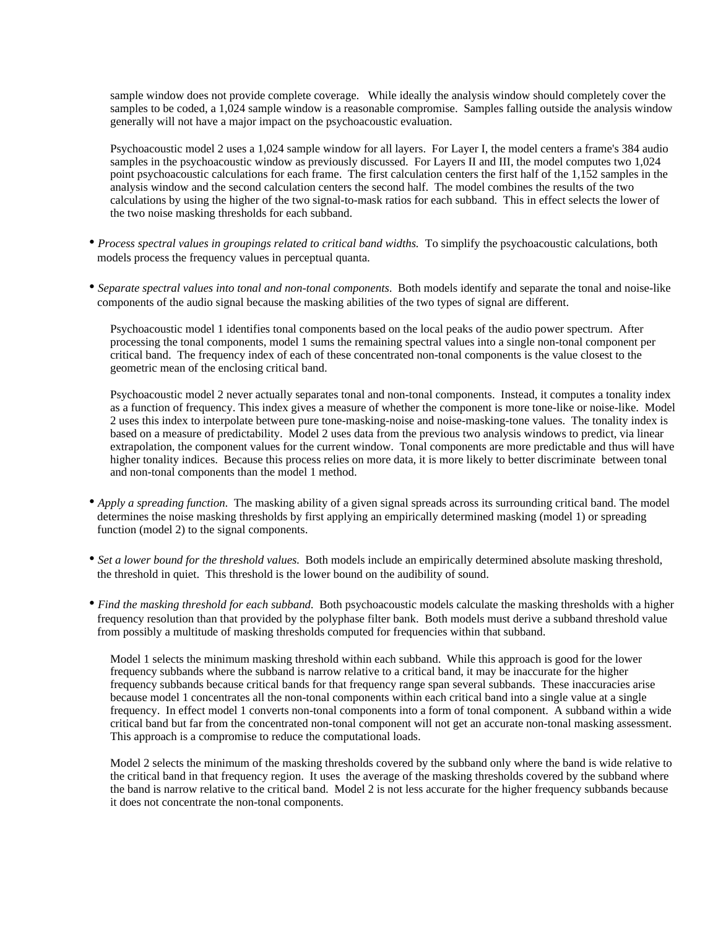sample window does not provide complete coverage. While ideally the analysis window should completely cover the samples to be coded, a 1,024 sample window is a reasonable compromise. Samples falling outside the analysis window generally will not have a major impact on the psychoacoustic evaluation.

Psychoacoustic model 2 uses a 1,024 sample window for all layers. For Layer I, the model centers a frame's 384 audio samples in the psychoacoustic window as previously discussed. For Layers II and III, the model computes two 1,024 point psychoacoustic calculations for each frame. The first calculation centers the first half of the 1,152 samples in the analysis window and the second calculation centers the second half. The model combines the results of the two calculations by using the higher of the two signal-to-mask ratios for each subband. This in effect selects the lower of the two noise masking thresholds for each subband.

- *Process spectral values in groupings related to critical band widths.* To simplify the psychoacoustic calculations, both models process the frequency values in perceptual quanta.
- *Separate spectral values into tonal and non-tonal components*. Both models identify and separate the tonal and noise-like components of the audio signal because the masking abilities of the two types of signal are different.

Psychoacoustic model 1 identifies tonal components based on the local peaks of the audio power spectrum. After processing the tonal components, model 1 sums the remaining spectral values into a single non-tonal component per critical band. The frequency index of each of these concentrated non-tonal components is the value closest to the geometric mean of the enclosing critical band.

Psychoacoustic model 2 never actually separates tonal and non-tonal components. Instead, it computes a tonality index as a function of frequency. This index gives a measure of whether the component is more tone-like or noise-like. Model 2 uses this index to interpolate between pure tone-masking-noise and noise-masking-tone values. The tonality index is based on a measure of predictability. Model 2 uses data from the previous two analysis windows to predict, via linear extrapolation, the component values for the current window. Tonal components are more predictable and thus will have higher tonality indices. Because this process relies on more data, it is more likely to better discriminate between tonal and non-tonal components than the model 1 method.

- *Apply a spreading function*. The masking ability of a given signal spreads across its surrounding critical band. The model determines the noise masking thresholds by first applying an empirically determined masking (model 1) or spreading function (model 2) to the signal components.
- *Set a lower bound for the threshold values*. Both models include an empirically determined absolute masking threshold, the threshold in quiet. This threshold is the lower bound on the audibility of sound.
- *Find the masking threshold for each subband*. Both psychoacoustic models calculate the masking thresholds with a higher frequency resolution than that provided by the polyphase filter bank. Both models must derive a subband threshold value from possibly a multitude of masking thresholds computed for frequencies within that subband.

Model 1 selects the minimum masking threshold within each subband. While this approach is good for the lower frequency subbands where the subband is narrow relative to a critical band, it may be inaccurate for the higher frequency subbands because critical bands for that frequency range span several subbands. These inaccuracies arise because model 1 concentrates all the non-tonal components within each critical band into a single value at a single frequency. In effect model 1 converts non-tonal components into a form of tonal component. A subband within a wide critical band but far from the concentrated non-tonal component will not get an accurate non-tonal masking assessment. This approach is a compromise to reduce the computational loads.

Model 2 selects the minimum of the masking thresholds covered by the subband only where the band is wide relative to the critical band in that frequency region. It uses the average of the masking thresholds covered by the subband where the band is narrow relative to the critical band. Model 2 is not less accurate for the higher frequency subbands because it does not concentrate the non-tonal components.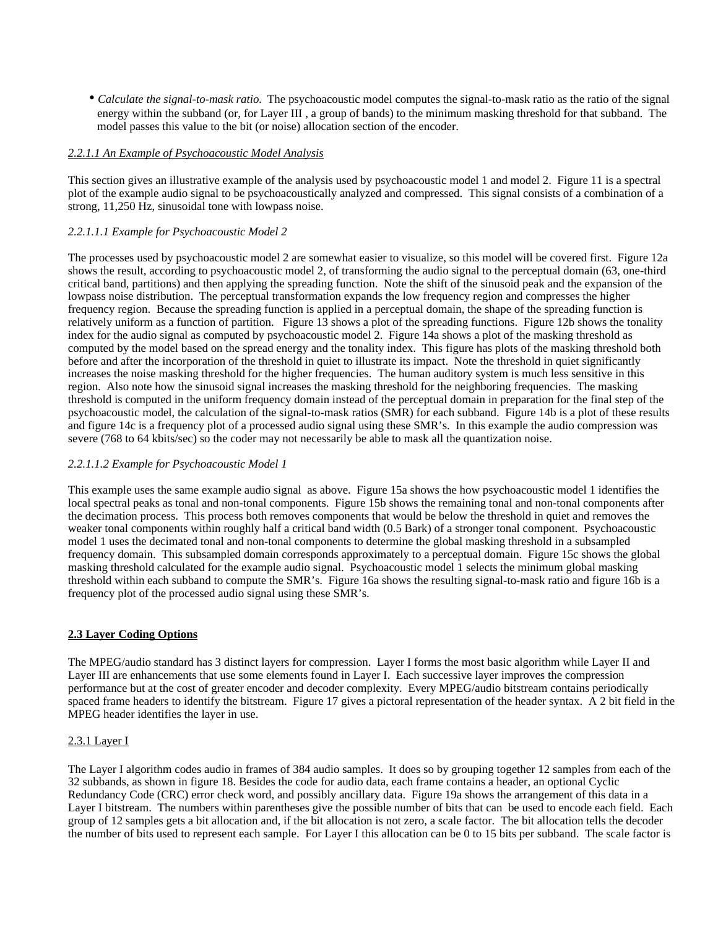• *Calculate the signal-to-mask ratio.* The psychoacoustic model computes the signal-to-mask ratio as the ratio of the signal energy within the subband (or, for Layer III , a group of bands) to the minimum masking threshold for that subband. The model passes this value to the bit (or noise) allocation section of the encoder.

# *2.2.1.1 An Example of Psychoacoustic Model Analysis*

This section gives an illustrative example of the analysis used by psychoacoustic model 1 and model 2. Figure 11 is a spectral plot of the example audio signal to be psychoacoustically analyzed and compressed. This signal consists of a combination of a strong, 11,250 Hz, sinusoidal tone with lowpass noise.

# *2.2.1.1.1 Example for Psychoacoustic Model 2*

The processes used by psychoacoustic model 2 are somewhat easier to visualize, so this model will be covered first. Figure 12a shows the result, according to psychoacoustic model 2, of transforming the audio signal to the perceptual domain (63, one-third critical band, partitions) and then applying the spreading function. Note the shift of the sinusoid peak and the expansion of the lowpass noise distribution. The perceptual transformation expands the low frequency region and compresses the higher frequency region. Because the spreading function is applied in a perceptual domain, the shape of the spreading function is relatively uniform as a function of partition. Figure 13 shows a plot of the spreading functions. Figure 12b shows the tonality index for the audio signal as computed by psychoacoustic model 2. Figure 14a shows a plot of the masking threshold as computed by the model based on the spread energy and the tonality index. This figure has plots of the masking threshold both before and after the incorporation of the threshold in quiet to illustrate its impact. Note the threshold in quiet significantly increases the noise masking threshold for the higher frequencies. The human auditory system is much less sensitive in this region. Also note how the sinusoid signal increases the masking threshold for the neighboring frequencies. The masking threshold is computed in the uniform frequency domain instead of the perceptual domain in preparation for the final step of the psychoacoustic model, the calculation of the signal-to-mask ratios (SMR) for each subband. Figure 14b is a plot of these results and figure 14c is a frequency plot of a processed audio signal using these SMR's. In this example the audio compression was severe (768 to 64 kbits/sec) so the coder may not necessarily be able to mask all the quantization noise.

## *2.2.1.1.2 Example for Psychoacoustic Model 1*

This example uses the same example audio signal as above. Figure 15a shows the how psychoacoustic model 1 identifies the local spectral peaks as tonal and non-tonal components. Figure 15b shows the remaining tonal and non-tonal components after the decimation process. This process both removes components that would be below the threshold in quiet and removes the weaker tonal components within roughly half a critical band width (0.5 Bark) of a stronger tonal component. Psychoacoustic model 1 uses the decimated tonal and non-tonal components to determine the global masking threshold in a subsampled frequency domain. This subsampled domain corresponds approximately to a perceptual domain. Figure 15c shows the global masking threshold calculated for the example audio signal. Psychoacoustic model 1 selects the minimum global masking threshold within each subband to compute the SMR's. Figure 16a shows the resulting signal-to-mask ratio and figure 16b is a frequency plot of the processed audio signal using these SMR's.

## **2.3 Layer Coding Options**

The MPEG/audio standard has 3 distinct layers for compression. Layer I forms the most basic algorithm while Layer II and Layer III are enhancements that use some elements found in Layer I. Each successive layer improves the compression performance but at the cost of greater encoder and decoder complexity. Every MPEG/audio bitstream contains periodically spaced frame headers to identify the bitstream. Figure 17 gives a pictoral representation of the header syntax. A 2 bit field in the MPEG header identifies the layer in use.

## 2.3.1 Layer I

The Layer I algorithm codes audio in frames of 384 audio samples. It does so by grouping together 12 samples from each of the 32 subbands, as shown in figure 18. Besides the code for audio data, each frame contains a header, an optional Cyclic Redundancy Code (CRC) error check word, and possibly ancillary data. Figure 19a shows the arrangement of this data in a Layer I bitstream. The numbers within parentheses give the possible number of bits that can be used to encode each field. Each group of 12 samples gets a bit allocation and, if the bit allocation is not zero, a scale factor. The bit allocation tells the decoder the number of bits used to represent each sample. For Layer I this allocation can be 0 to 15 bits per subband. The scale factor is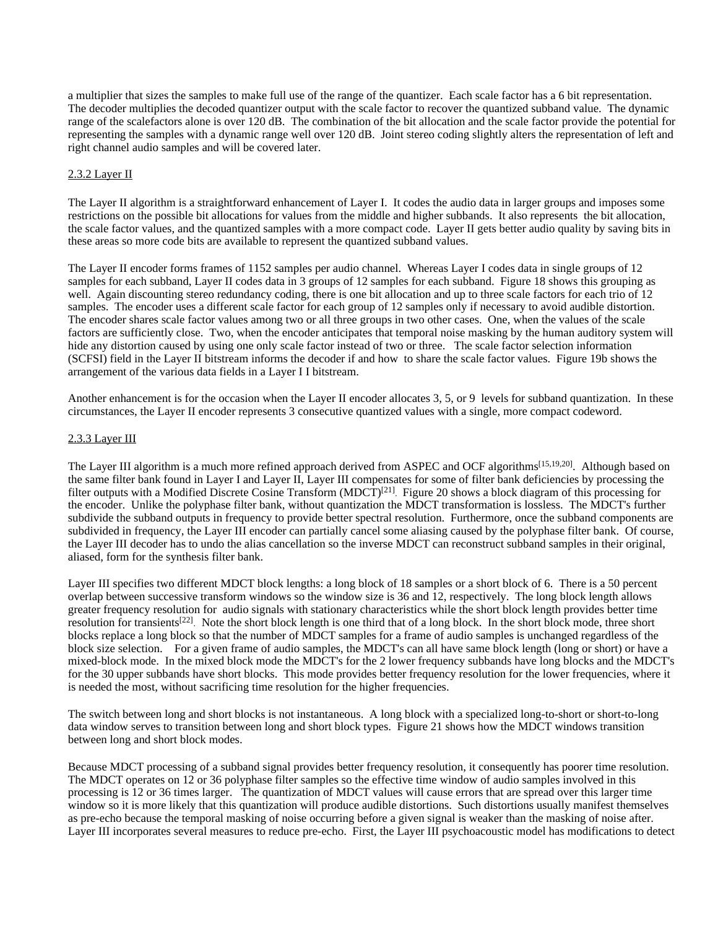a multiplier that sizes the samples to make full use of the range of the quantizer. Each scale factor has a 6 bit representation. The decoder multiplies the decoded quantizer output with the scale factor to recover the quantized subband value. The dynamic range of the scalefactors alone is over 120 dB. The combination of the bit allocation and the scale factor provide the potential for representing the samples with a dynamic range well over 120 dB. Joint stereo coding slightly alters the representation of left and right channel audio samples and will be covered later.

# 2.3.2 Layer II

The Layer II algorithm is a straightforward enhancement of Layer I. It codes the audio data in larger groups and imposes some restrictions on the possible bit allocations for values from the middle and higher subbands. It also represents the bit allocation, the scale factor values, and the quantized samples with a more compact code. Layer II gets better audio quality by saving bits in these areas so more code bits are available to represent the quantized subband values.

The Layer II encoder forms frames of 1152 samples per audio channel. Whereas Layer I codes data in single groups of 12 samples for each subband, Layer II codes data in 3 groups of 12 samples for each subband. Figure 18 shows this grouping as well. Again discounting stereo redundancy coding, there is one bit allocation and up to three scale factors for each trio of 12 samples. The encoder uses a different scale factor for each group of 12 samples only if necessary to avoid audible distortion. The encoder shares scale factor values among two or all three groups in two other cases. One, when the values of the scale factors are sufficiently close. Two, when the encoder anticipates that temporal noise masking by the human auditory system will hide any distortion caused by using one only scale factor instead of two or three. The scale factor selection information (SCFSI) field in the Layer II bitstream informs the decoder if and how to share the scale factor values. Figure 19b shows the arrangement of the various data fields in a Layer I I bitstream.

Another enhancement is for the occasion when the Layer II encoder allocates 3, 5, or 9 levels for subband quantization. In these circumstances, the Layer II encoder represents 3 consecutive quantized values with a single, more compact codeword.

# 2.3.3 Layer III

The Layer III algorithm is a much more refined approach derived from ASPEC and OCF algorithms[15,19,20]. Although based on the same filter bank found in Layer I and Layer II, Layer III compensates for some of filter bank deficiencies by processing the filter outputs with a Modified Discrete Cosine Transform (MDCT)<sup>[21]</sup>. Figure 20 shows a block diagram of this processing for the encoder. Unlike the polyphase filter bank, without quantization the MDCT transformation is lossless. The MDCT's further subdivide the subband outputs in frequency to provide better spectral resolution. Furthermore, once the subband components are subdivided in frequency, the Layer III encoder can partially cancel some aliasing caused by the polyphase filter bank. Of course, the Layer III decoder has to undo the alias cancellation so the inverse MDCT can reconstruct subband samples in their original, aliased, form for the synthesis filter bank.

Layer III specifies two different MDCT block lengths: a long block of 18 samples or a short block of 6. There is a 50 percent overlap between successive transform windows so the window size is 36 and 12, respectively. The long block length allows greater frequency resolution for audio signals with stationary characteristics while the short block length provides better time resolution for transients[22]. Note the short block length is one third that of a long block. In the short block mode, three short blocks replace a long block so that the number of MDCT samples for a frame of audio samples is unchanged regardless of the block size selection. For a given frame of audio samples, the MDCT's can all have same block length (long or short) or have a mixed-block mode. In the mixed block mode the MDCT's for the 2 lower frequency subbands have long blocks and the MDCT's for the 30 upper subbands have short blocks. This mode provides better frequency resolution for the lower frequencies, where it is needed the most, without sacrificing time resolution for the higher frequencies.

The switch between long and short blocks is not instantaneous. A long block with a specialized long-to-short or short-to-long data window serves to transition between long and short block types. Figure 21 shows how the MDCT windows transition between long and short block modes.

Because MDCT processing of a subband signal provides better frequency resolution, it consequently has poorer time resolution. The MDCT operates on 12 or 36 polyphase filter samples so the effective time window of audio samples involved in this processing is 12 or 36 times larger. The quantization of MDCT values will cause errors that are spread over this larger time window so it is more likely that this quantization will produce audible distortions. Such distortions usually manifest themselves as pre-echo because the temporal masking of noise occurring before a given signal is weaker than the masking of noise after. Layer III incorporates several measures to reduce pre-echo. First, the Layer III psychoacoustic model has modifications to detect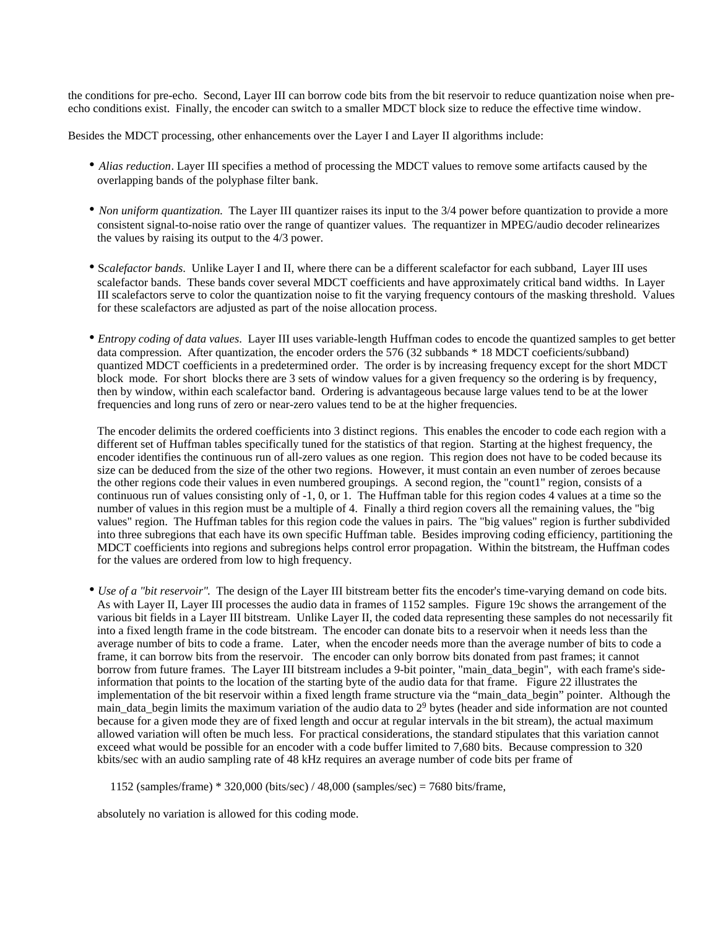the conditions for pre-echo. Second, Layer III can borrow code bits from the bit reservoir to reduce quantization noise when preecho conditions exist. Finally, the encoder can switch to a smaller MDCT block size to reduce the effective time window.

Besides the MDCT processing, other enhancements over the Layer I and Layer II algorithms include:

- *Alias reduction*. Layer III specifies a method of processing the MDCT values to remove some artifacts caused by the overlapping bands of the polyphase filter bank.
- *Non uniform quantization.* The Layer III quantizer raises its input to the 3/4 power before quantization to provide a more consistent signal-to-noise ratio over the range of quantizer values. The requantizer in MPEG/audio decoder relinearizes the values by raising its output to the 4/3 power.
- S*calefactor bands*. Unlike Layer I and II, where there can be a different scalefactor for each subband, Layer III uses scalefactor bands. These bands cover several MDCT coefficients and have approximately critical band widths. In Layer III scalefactors serve to color the quantization noise to fit the varying frequency contours of the masking threshold. Values for these scalefactors are adjusted as part of the noise allocation process.
- *Entropy coding of data values*. Layer III uses variable-length Huffman codes to encode the quantized samples to get better data compression. After quantization, the encoder orders the 576 (32 subbands \* 18 MDCT coeficients/subband) quantized MDCT coefficients in a predetermined order. The order is by increasing frequency except for the short MDCT block mode. For short blocks there are 3 sets of window values for a given frequency so the ordering is by frequency, then by window, within each scalefactor band. Ordering is advantageous because large values tend to be at the lower frequencies and long runs of zero or near-zero values tend to be at the higher frequencies.

The encoder delimits the ordered coefficients into 3 distinct regions. This enables the encoder to code each region with a different set of Huffman tables specifically tuned for the statistics of that region. Starting at the highest frequency, the encoder identifies the continuous run of all-zero values as one region. This region does not have to be coded because its size can be deduced from the size of the other two regions. However, it must contain an even number of zeroes because the other regions code their values in even numbered groupings. A second region, the "count1" region, consists of a continuous run of values consisting only of -1, 0, or 1. The Huffman table for this region codes 4 values at a time so the number of values in this region must be a multiple of 4. Finally a third region covers all the remaining values, the "big values" region. The Huffman tables for this region code the values in pairs. The "big values" region is further subdivided into three subregions that each have its own specific Huffman table. Besides improving coding efficiency, partitioning the MDCT coefficients into regions and subregions helps control error propagation. Within the bitstream, the Huffman codes for the values are ordered from low to high frequency.

• *Use of a "bit reservoir"*. The design of the Layer III bitstream better fits the encoder's time-varying demand on code bits. As with Layer II, Layer III processes the audio data in frames of 1152 samples. Figure 19c shows the arrangement of the various bit fields in a Layer III bitstream. Unlike Layer II, the coded data representing these samples do not necessarily fit into a fixed length frame in the code bitstream. The encoder can donate bits to a reservoir when it needs less than the average number of bits to code a frame. Later, when the encoder needs more than the average number of bits to code a frame, it can borrow bits from the reservoir. The encoder can only borrow bits donated from past frames; it cannot borrow from future frames. The Layer III bitstream includes a 9-bit pointer, "main\_data\_begin", with each frame's sideinformation that points to the location of the starting byte of the audio data for that frame. Figure 22 illustrates the implementation of the bit reservoir within a fixed length frame structure via the "main\_data\_begin" pointer. Although the main\_data\_begin limits the maximum variation of the audio data to  $2<sup>9</sup>$  bytes (header and side information are not counted because for a given mode they are of fixed length and occur at regular intervals in the bit stream), the actual maximum allowed variation will often be much less. For practical considerations, the standard stipulates that this variation cannot exceed what would be possible for an encoder with a code buffer limited to 7,680 bits. Because compression to 320 kbits/sec with an audio sampling rate of 48 kHz requires an average number of code bits per frame of

1152 (samples/frame) \* 320,000 (bits/sec) / 48,000 (samples/sec) = 7680 bits/frame,

absolutely no variation is allowed for this coding mode.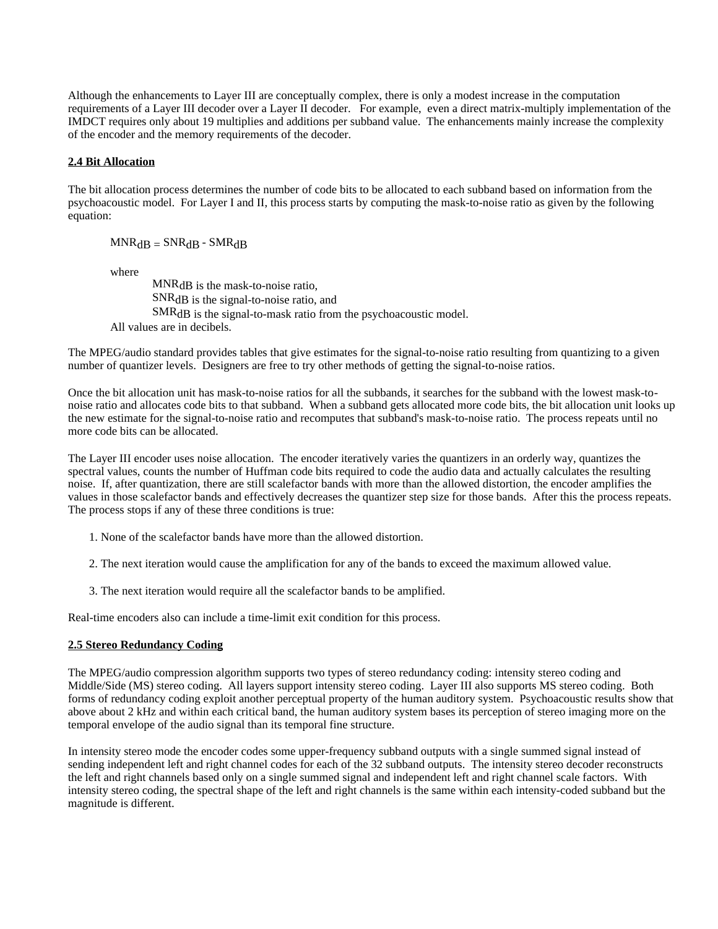Although the enhancements to Layer III are conceptually complex, there is only a modest increase in the computation requirements of a Layer III decoder over a Layer II decoder. For example, even a direct matrix-multiply implementation of the IMDCT requires only about 19 multiplies and additions per subband value. The enhancements mainly increase the complexity of the encoder and the memory requirements of the decoder.

## **2.4 Bit Allocation**

The bit allocation process determines the number of code bits to be allocated to each subband based on information from the psychoacoustic model. For Layer I and II, this process starts by computing the mask-to-noise ratio as given by the following equation:

 $MNR$ <sub>dB</sub> =  $SNR$ <sub>dB</sub> -  $SMR$ <sub>dB</sub>

where

MNRdB is the mask-to-noise ratio, SNRdB is the signal-to-noise ratio, and SMRdB is the signal-to-mask ratio from the psychoacoustic model. All values are in decibels.

The MPEG/audio standard provides tables that give estimates for the signal-to-noise ratio resulting from quantizing to a given number of quantizer levels. Designers are free to try other methods of getting the signal-to-noise ratios.

Once the bit allocation unit has mask-to-noise ratios for all the subbands, it searches for the subband with the lowest mask-tonoise ratio and allocates code bits to that subband. When a subband gets allocated more code bits, the bit allocation unit looks up the new estimate for the signal-to-noise ratio and recomputes that subband's mask-to-noise ratio. The process repeats until no more code bits can be allocated.

The Layer III encoder uses noise allocation. The encoder iteratively varies the quantizers in an orderly way, quantizes the spectral values, counts the number of Huffman code bits required to code the audio data and actually calculates the resulting noise. If, after quantization, there are still scalefactor bands with more than the allowed distortion, the encoder amplifies the values in those scalefactor bands and effectively decreases the quantizer step size for those bands. After this the process repeats. The process stops if any of these three conditions is true:

- 1. None of the scalefactor bands have more than the allowed distortion.
- 2. The next iteration would cause the amplification for any of the bands to exceed the maximum allowed value.
- 3. The next iteration would require all the scalefactor bands to be amplified.

Real-time encoders also can include a time-limit exit condition for this process.

# **2.5 Stereo Redundancy Coding**

The MPEG/audio compression algorithm supports two types of stereo redundancy coding: intensity stereo coding and Middle/Side (MS) stereo coding. All layers support intensity stereo coding. Layer III also supports MS stereo coding. Both forms of redundancy coding exploit another perceptual property of the human auditory system. Psychoacoustic results show that above about 2 kHz and within each critical band, the human auditory system bases its perception of stereo imaging more on the temporal envelope of the audio signal than its temporal fine structure.

In intensity stereo mode the encoder codes some upper-frequency subband outputs with a single summed signal instead of sending independent left and right channel codes for each of the 32 subband outputs. The intensity stereo decoder reconstructs the left and right channels based only on a single summed signal and independent left and right channel scale factors. With intensity stereo coding, the spectral shape of the left and right channels is the same within each intensity-coded subband but the magnitude is different.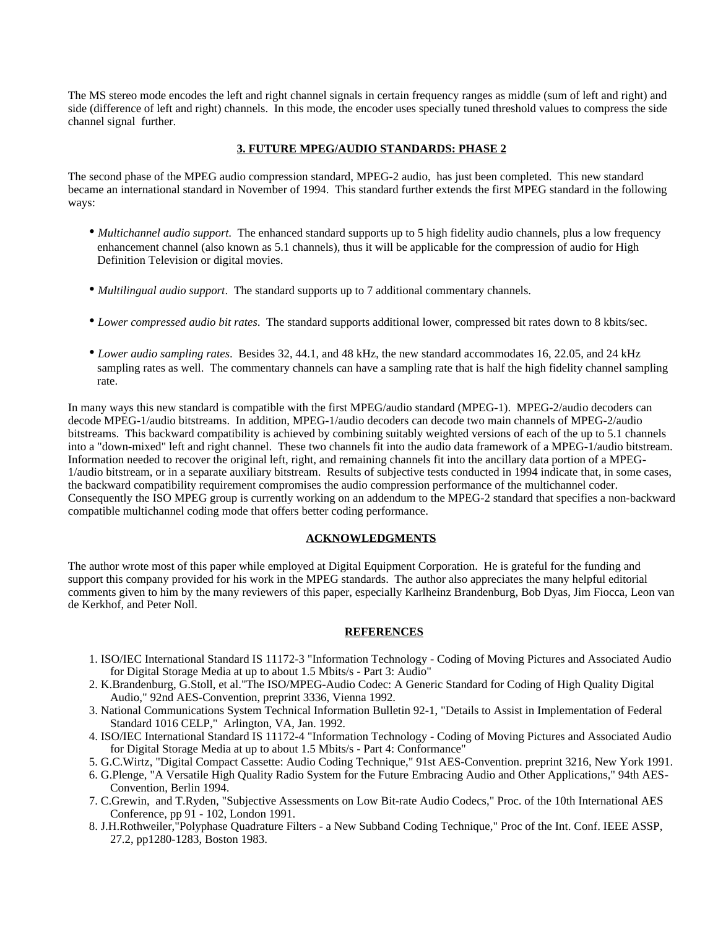The MS stereo mode encodes the left and right channel signals in certain frequency ranges as middle (sum of left and right) and side (difference of left and right) channels. In this mode, the encoder uses specially tuned threshold values to compress the side channel signal further.

# **3. FUTURE MPEG/AUDIO STANDARDS: PHASE 2**

The second phase of the MPEG audio compression standard, MPEG-2 audio, has just been completed. This new standard became an international standard in November of 1994. This standard further extends the first MPEG standard in the following ways:

- *Multichannel audio support*. The enhanced standard supports up to 5 high fidelity audio channels, plus a low frequency enhancement channel (also known as 5.1 channels), thus it will be applicable for the compression of audio for High Definition Television or digital movies.
- *Multilingual audio support*. The standard supports up to 7 additional commentary channels.
- *Lower compressed audio bit rates*. The standard supports additional lower, compressed bit rates down to 8 kbits/sec.
- *Lower audio sampling rates*. Besides 32, 44.1, and 48 kHz, the new standard accommodates 16, 22.05, and 24 kHz sampling rates as well. The commentary channels can have a sampling rate that is half the high fidelity channel sampling rate.

In many ways this new standard is compatible with the first MPEG/audio standard (MPEG-1). MPEG-2/audio decoders can decode MPEG-1/audio bitstreams. In addition, MPEG-1/audio decoders can decode two main channels of MPEG-2/audio bitstreams. This backward compatibility is achieved by combining suitably weighted versions of each of the up to 5.1 channels into a "down-mixed" left and right channel. These two channels fit into the audio data framework of a MPEG-1/audio bitstream. Information needed to recover the original left, right, and remaining channels fit into the ancillary data portion of a MPEG-1/audio bitstream, or in a separate auxiliary bitstream. Results of subjective tests conducted in 1994 indicate that, in some cases, the backward compatibility requirement compromises the audio compression performance of the multichannel coder. Consequently the ISO MPEG group is currently working on an addendum to the MPEG-2 standard that specifies a non-backward compatible multichannel coding mode that offers better coding performance.

## **ACKNOWLEDGMENTS**

The author wrote most of this paper while employed at Digital Equipment Corporation. He is grateful for the funding and support this company provided for his work in the MPEG standards. The author also appreciates the many helpful editorial comments given to him by the many reviewers of this paper, especially Karlheinz Brandenburg, Bob Dyas, Jim Fiocca, Leon van de Kerkhof, and Peter Noll.

## **REFERENCES**

- 1. ISO/IEC International Standard IS 11172-3 "Information Technology Coding of Moving Pictures and Associated Audio for Digital Storage Media at up to about 1.5 Mbits/s - Part 3: Audio"
- 2. K.Brandenburg, G.Stoll, et al."The ISO/MPEG-Audio Codec: A Generic Standard for Coding of High Quality Digital Audio," 92nd AES-Convention, preprint 3336, Vienna 1992.
- 3. National Communications System Technical Information Bulletin 92-1, "Details to Assist in Implementation of Federal Standard 1016 CELP," Arlington, VA, Jan. 1992.
- 4. ISO/IEC International Standard IS 11172-4 "Information Technology Coding of Moving Pictures and Associated Audio for Digital Storage Media at up to about 1.5 Mbits/s - Part 4: Conformance"
- 5. G.C.Wirtz, "Digital Compact Cassette: Audio Coding Technique," 91st AES-Convention. preprint 3216, New York 1991.
- 6. G.Plenge, "A Versatile High Quality Radio System for the Future Embracing Audio and Other Applications," 94th AES-Convention, Berlin 1994.
- 7. C.Grewin, and T.Ryden, "Subjective Assessments on Low Bit-rate Audio Codecs," Proc. of the 10th International AES Conference, pp 91 - 102, London 1991.
- 8. J.H.Rothweiler,"Polyphase Quadrature Filters a New Subband Coding Technique," Proc of the Int. Conf. IEEE ASSP, 27.2, pp1280-1283, Boston 1983.